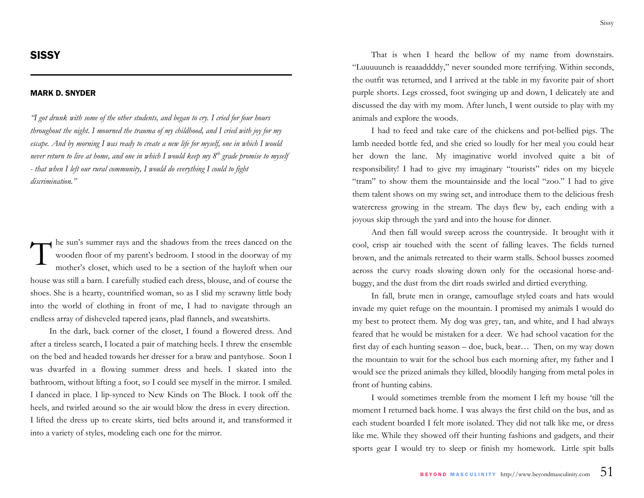## MARK D. SNYDER

*"I got drunk with some of the other students, and began to cry. I cried for four hours throughout the night. I mourned the trauma of my childhood, and I cried with joy for my escape. And by morning I was ready to create a new life for myself, one in which I would never return to live at home, and one in which I would keep my 8th grade promise to myself - that when I left our rural community, I would do everything I could to fight discrimination."* 

he sun's summer rays and the shadows from the trees danced on the wooden floor of my parent's bedroom. I stood in the doorway of my mother's closet, which used to be a section of the hayloft when our house was still a barn. I carefully studied each dress, blouse, and of course the shoes. She is a hearty, countrified woman, so as I slid my scrawny little body into the world of clothing in front of me, I had to navigate through an endless array of disheveled tapered jeans, plad flannels, and sweatshirts.

In the dark, back corner of the closet, I found a flowered dress. And after a tireless search, I located a pair of matching heels. I threw the ensemble on the bed and headed towards her dresser for a braw and pantyhose. Soon I was dwarfed in a flowing summer dress and heels. I skated into the bathroom, without lifting a foot, so I could see myself in the mirror. I smiled. I danced in place. I lip-synced to New Kinds on The Block. I took off the heels, and twirled around so the air would blow the dress in every direction. I lifted the dress up to create skirts, tied belts around it, and transformed it into a variety of styles, modeling each one for the mirror.

That is when I heard the bellow of my name from downstairs. "Luuuuunch is reaaaddddy," never sounded more terrifying. Within seconds, the outfit was returned, and I arrived at the table in my favorite pair of short purple shorts. Legs crossed, foot swinging up and down, I delicately ate and discussed the day with my mom. After lunch, I went outside to play with my animals and explore the woods.

I had to feed and take care of the chickens and pot-bellied pigs. The lamb needed bottle fed, and she cried so loudly for her meal you could hear her down the lane. My imaginative world involved quite a bit of responsibility! I had to give my imaginary "tourists" rides on my bicycle "tram" to show them the mountainside and the local "zoo." I had to give them talent shows on my swing set, and introduce them to the delicious fresh watercress growing in the stream. The days flew by, each ending with a joyous skip through the yard and into the house for dinner.

And then fall would sweep across the countryside. It brought with it cool, crisp air touched with the scent of falling leaves. The fields turned brown, and the animals retreated to their warm stalls. School busses zoomed across the curvy roads slowing down only for the occasional horse-andbuggy, and the dust from the dirt roads swirled and dirtied everything.

In fall, brute men in orange, camouflage styled coats and hats would invade my quiet refuge on the mountain. I promised my animals I would do my best to protect them. My dog was grey, tan, and white, and I had always feared that he would be mistaken for a deer. We had school vacation for the first day of each hunting season – doe, buck, bear… Then, on my way down the mountain to wait for the school bus each morning after, my father and I would see the prized animals they killed, bloodily hanging from metal poles in front of hunting cabins.

I would sometimes tremble from the moment I left my house 'till the moment I returned back home. I was always the first child on the bus, and as each student boarded I felt more isolated. They did not talk like me, or dress like me. While they showed off their hunting fashions and gadgets, and their sports gear I would try to sleep or finish my homework. Little spit balls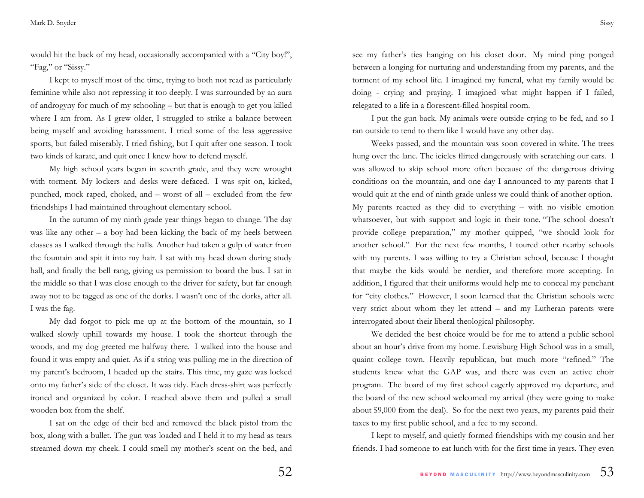would hit the back of my head, occasionally accompanied with a "City boy!", "Fag," or "Sissy."

I kept to myself most of the time, trying to both not read as particularly feminine while also not repressing it too deeply. I was surrounded by an aura of androgyny for much of my schooling – but that is enough to get you killed where I am from. As I grew older, I struggled to strike a balance between being myself and avoiding harassment. I tried some of the less aggressive sports, but failed miserably. I tried fishing, but I quit after one season. I took two kinds of karate, and quit once I knew how to defend myself.

My high school years began in seventh grade, and they were wrought with torment. My lockers and desks were defaced. I was spit on, kicked, punched, mock raped, choked, and – worst of all – excluded from the few friendships I had maintained throughout elementary school.

In the autumn of my ninth grade year things began to change. The day was like any other  $-$  a boy had been kicking the back of my heels between classes as I walked through the halls. Another had taken a gulp of water from the fountain and spit it into my hair. I sat with my head down during study hall, and finally the bell rang, giving us permission to board the bus. I sat in the middle so that I was close enough to the driver for safety, but far enough away not to be tagged as one of the dorks. I wasn't one of the dorks, after all. I was the fag.

My dad forgot to pick me up at the bottom of the mountain, so I walked slowly uphill towards my house. I took the shortcut through the woods, and my dog greeted me halfway there. I walked into the house and found it was empty and quiet. As if a string was pulling me in the direction of my parent's bedroom, I headed up the stairs. This time, my gaze was locked onto my father's side of the closet. It was tidy. Each dress-shirt was perfectly ironed and organized by color. I reached above them and pulled a small wooden box from the shelf.

I sat on the edge of their bed and removed the black pistol from the box, along with a bullet. The gun was loaded and I held it to my head as tears streamed down my cheek. I could smell my mother's scent on the bed, and

see my father's ties hanging on his closet door. My mind ping ponged between a longing for nurturing and understanding from my parents, and the torment of my school life. I imagined my funeral, what my family would be doing - crying and praying. I imagined what might happen if I failed, relegated to a life in a florescent-filled hospital room.

I put the gun back. My animals were outside crying to be fed, and so I ran outside to tend to them like I would have any other day.

Weeks passed, and the mountain was soon covered in white. The trees hung over the lane. The icicles flirted dangerously with scratching our cars. I was allowed to skip school more often because of the dangerous driving conditions on the mountain, and one day I announced to my parents that I would quit at the end of ninth grade unless we could think of another option. My parents reacted as they did to everything – with no visible emotion whatsoever, but with support and logic in their tone. "The school doesn't provide college preparation," my mother quipped, "we should look for another school." For the next few months, I toured other nearby schools with my parents. I was willing to try a Christian school, because I thought that maybe the kids would be nerdier, and therefore more accepting. In addition, I figured that their uniforms would help me to conceal my penchant for "city clothes." However, I soon learned that the Christian schools were very strict about whom they let attend – and my Lutheran parents were interrogated about their liberal theological philosophy.

We decided the best choice would be for me to attend a public school about an hour's drive from my home. Lewisburg High School was in a small, quaint college town. Heavily republican, but much more "refined." The students knew what the GAP was, and there was even an active choir program. The board of my first school eagerly approved my departure, and the board of the new school welcomed my arrival (they were going to make about \$9,000 from the deal). So for the next two years, my parents paid their taxes to my first public school, and a fee to my second.

I kept to myself, and quietly formed friendships with my cousin and her friends. I had someone to eat lunch with for the first time in years. They even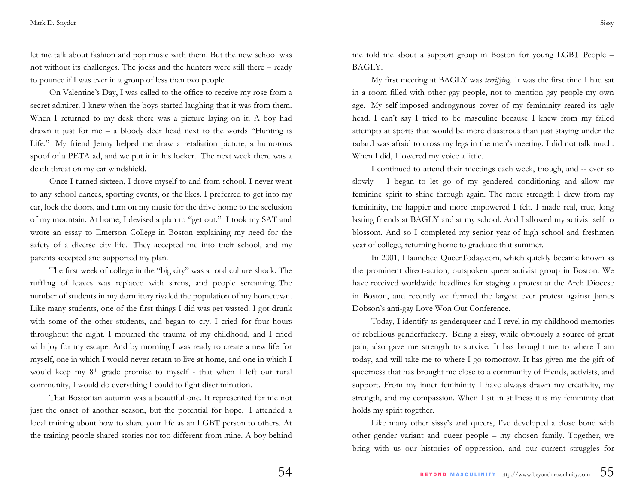let me talk about fashion and pop music with them! But the new school was not without its challenges. The jocks and the hunters were still there – ready to pounce if I was ever in a group of less than two people.

On Valentine's Day, I was called to the office to receive my rose from a secret admirer. I knew when the boys started laughing that it was from them. When I returned to my desk there was a picture laying on it. A boy had drawn it just for me – a bloody deer head next to the words "Hunting is Life." My friend Jenny helped me draw a retaliation picture, a humorous spoof of a PETA ad, and we put it in his locker. The next week there was a death threat on my car windshield.

Once I turned sixteen, I drove myself to and from school. I never went to any school dances, sporting events, or the likes. I preferred to get into my car, lock the doors, and turn on my music for the drive home to the seclusion of my mountain. At home, I devised a plan to "get out." I took my SAT and wrote an essay to Emerson College in Boston explaining my need for the safety of a diverse city life. They accepted me into their school, and my parents accepted and supported my plan.

The first week of college in the "big city" was a total culture shock. The ruffling of leaves was replaced with sirens, and people screaming. The number of students in my dormitory rivaled the population of my hometown. Like many students, one of the first things I did was get wasted. I got drunk with some of the other students, and began to cry. I cried for four hours throughout the night. I mourned the trauma of my childhood, and I cried with joy for my escape. And by morning I was ready to create a new life for myself, one in which I would never return to live at home, and one in which I would keep my 8th grade promise to myself - that when I left our rural community, I would do everything I could to fight discrimination.

That Bostonian autumn was a beautiful one. It represented for me not just the onset of another season, but the potential for hope. I attended a local training about how to share your life as an LGBT person to others. At the training people shared stories not too different from mine. A boy behind

me told me about a support group in Boston for young LGBT People – BAGLY.

My first meeting at BAGLY was *terrifying*. It was the first time I had sat in a room filled with other gay people, not to mention gay people my own age. My self-imposed androgynous cover of my femininity reared its ugly head. I can't say I tried to be masculine because I knew from my failed attempts at sports that would be more disastrous than just staying under the radar.I was afraid to cross my legs in the men's meeting. I did not talk much. When I did, I lowered my voice a little.

I continued to attend their meetings each week, though, and -- ever so slowly – I began to let go of my gendered conditioning and allow my feminine spirit to shine through again. The more strength I drew from my femininity, the happier and more empowered I felt. I made real, true, long lasting friends at BAGLY and at my school. And I allowed my activist self to blossom. And so I completed my senior year of high school and freshmen year of college, returning home to graduate that summer.

In 2001, I launched QueerToday.com, which quickly became known as the prominent direct-action, outspoken queer activist group in Boston. We have received worldwide headlines for staging a protest at the Arch Diocese in Boston, and recently we formed the largest ever protest against James Dobson's anti-gay Love Won Out Conference.

Today, I identify as genderqueer and I revel in my childhood memories of rebellious genderfuckery. Being a sissy, while obviously a source of great pain, also gave me strength to survive. It has brought me to where I am today, and will take me to where I go tomorrow. It has given me the gift of queerness that has brought me close to a community of friends, activists, and support. From my inner femininity I have always drawn my creativity, my strength, and my compassion. When I sit in stillness it is my femininity that holds my spirit together.

Like many other sissy's and queers, I've developed a close bond with other gender variant and queer people – my chosen family. Together, we bring with us our histories of oppression, and our current struggles for